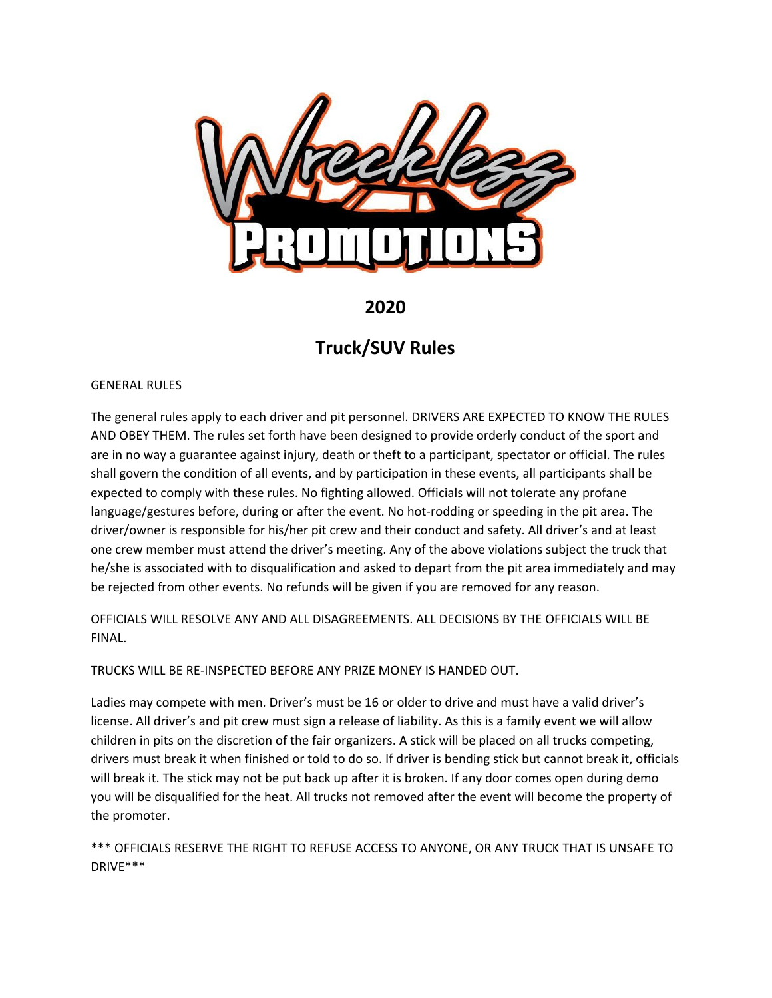

# **2020**

# **Truck/SUV Rules**

### GENERAL RULES

The general rules apply to each driver and pit personnel. DRIVERS ARE EXPECTED TO KNOW THE RULES AND OBEY THEM. The rules set forth have been designed to provide orderly conduct of the sport and are in no way a guarantee against injury, death or theft to a participant, spectator or official. The rules shall govern the condition of all events, and by participation in these events, all participants shall be expected to comply with these rules. No fighting allowed. Officials will not tolerate any profane language/gestures before, during or after the event. No hot-rodding or speeding in the pit area. The driver/owner is responsible for his/her pit crew and their conduct and safety. All driver's and at least one crew member must attend the driver's meeting. Any of the above violations subject the truck that he/she is associated with to disqualification and asked to depart from the pit area immediately and may be rejected from other events. No refunds will be given if you are removed for any reason.

OFFICIALS WILL RESOLVE ANY AND ALL DISAGREEMENTS. ALL DECISIONS BY THE OFFICIALS WILL BE FINAL.

TRUCKS WILL BE RE-INSPECTED BEFORE ANY PRIZE MONEY IS HANDED OUT.

Ladies may compete with men. Driver's must be 16 or older to drive and must have a valid driver's license. All driver's and pit crew must sign a release of liability. As this is a family event we will allow children in pits on the discretion of the fair organizers. A stick will be placed on all trucks competing, drivers must break it when finished or told to do so. If driver is bending stick but cannot break it, officials will break it. The stick may not be put back up after it is broken. If any door comes open during demo you will be disqualified for the heat. All trucks not removed after the event will become the property of the promoter.

\*\*\* OFFICIALS RESERVE THE RIGHT TO REFUSE ACCESS TO ANYONE, OR ANY TRUCK THAT IS UNSAFE TO DRIVE\*\*\*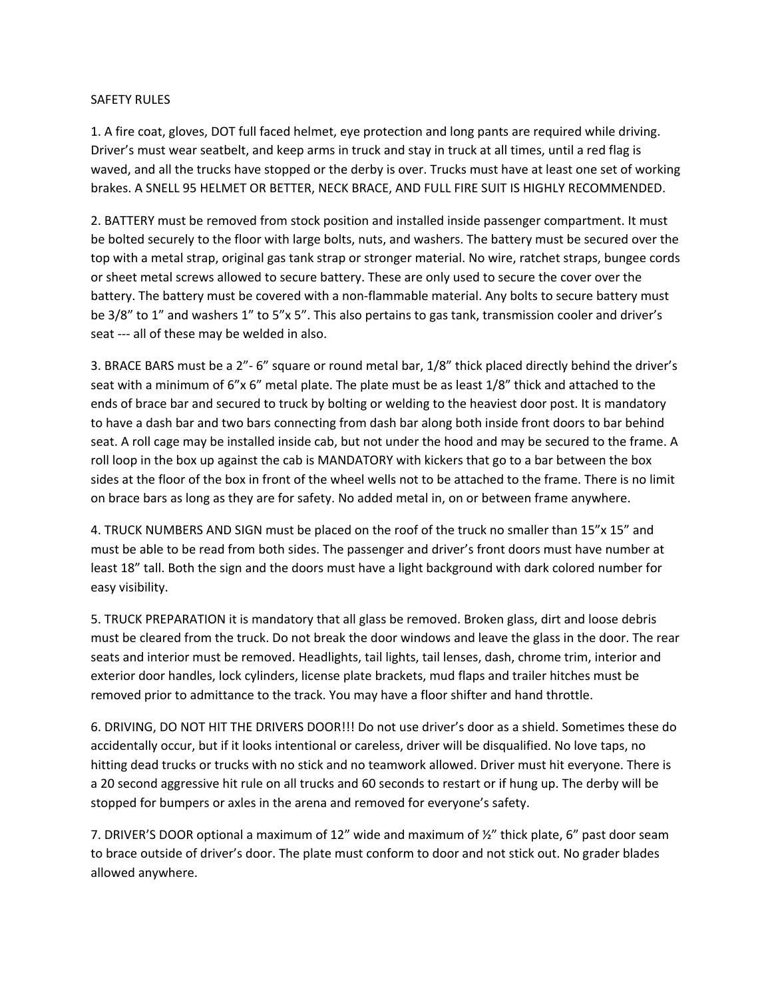#### SAFETY RULES

1. A fire coat, gloves, DOT full faced helmet, eye protection and long pants are required while driving. Driver's must wear seatbelt, and keep arms in truck and stay in truck at all times, until a red flag is waved, and all the trucks have stopped or the derby is over. Trucks must have at least one set of working brakes. A SNELL 95 HELMET OR BETTER, NECK BRACE, AND FULL FIRE SUIT IS HIGHLY RECOMMENDED.

2. BATTERY must be removed from stock position and installed inside passenger compartment. It must be bolted securely to the floor with large bolts, nuts, and washers. The battery must be secured over the top with a metal strap, original gas tank strap or stronger material. No wire, ratchet straps, bungee cords or sheet metal screws allowed to secure battery. These are only used to secure the cover over the battery. The battery must be covered with a non-flammable material. Any bolts to secure battery must be 3/8" to 1" and washers 1" to 5"x 5". This also pertains to gas tank, transmission cooler and driver's seat --- all of these may be welded in also.

3. BRACE BARS must be a 2"- 6" square or round metal bar, 1/8" thick placed directly behind the driver's seat with a minimum of 6"x 6" metal plate. The plate must be as least 1/8" thick and attached to the ends of brace bar and secured to truck by bolting or welding to the heaviest door post. It is mandatory to have a dash bar and two bars connecting from dash bar along both inside front doors to bar behind seat. A roll cage may be installed inside cab, but not under the hood and may be secured to the frame. A roll loop in the box up against the cab is MANDATORY with kickers that go to a bar between the box sides at the floor of the box in front of the wheel wells not to be attached to the frame. There is no limit on brace bars as long as they are for safety. No added metal in, on or between frame anywhere.

4. TRUCK NUMBERS AND SIGN must be placed on the roof of the truck no smaller than 15"x 15" and must be able to be read from both sides. The passenger and driver's front doors must have number at least 18" tall. Both the sign and the doors must have a light background with dark colored number for easy visibility.

5. TRUCK PREPARATION it is mandatory that all glass be removed. Broken glass, dirt and loose debris must be cleared from the truck. Do not break the door windows and leave the glass in the door. The rear seats and interior must be removed. Headlights, tail lights, tail lenses, dash, chrome trim, interior and exterior door handles, lock cylinders, license plate brackets, mud flaps and trailer hitches must be removed prior to admittance to the track. You may have a floor shifter and hand throttle.

6. DRIVING, DO NOT HIT THE DRIVERS DOOR!!! Do not use driver's door as a shield. Sometimes these do accidentally occur, but if it looks intentional or careless, driver will be disqualified. No love taps, no hitting dead trucks or trucks with no stick and no teamwork allowed. Driver must hit everyone. There is a 20 second aggressive hit rule on all trucks and 60 seconds to restart or if hung up. The derby will be stopped for bumpers or axles in the arena and removed for everyone's safety.

7. DRIVER'S DOOR optional a maximum of 12" wide and maximum of ½" thick plate, 6" past door seam to brace outside of driver's door. The plate must conform to door and not stick out. No grader blades allowed anywhere.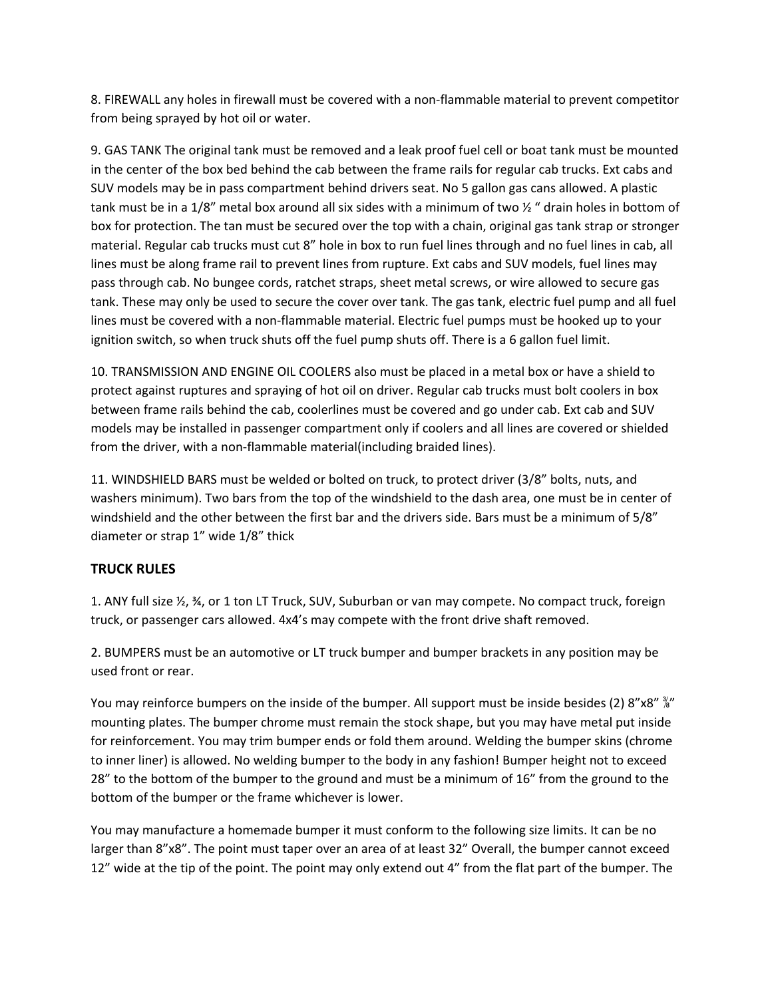8. FIREWALL any holes in firewall must be covered with a non-flammable material to prevent competitor from being sprayed by hot oil or water.

9. GAS TANK The original tank must be removed and a leak proof fuel cell or boat tank must be mounted in the center of the box bed behind the cab between the frame rails for regular cab trucks. Ext cabs and SUV models may be in pass compartment behind drivers seat. No 5 gallon gas cans allowed. A plastic tank must be in a 1/8" metal box around all six sides with a minimum of two ½ " drain holes in bottom of box for protection. The tan must be secured over the top with a chain, original gas tank strap or stronger material. Regular cab trucks must cut 8" hole in box to run fuel lines through and no fuel lines in cab, all lines must be along frame rail to prevent lines from rupture. Ext cabs and SUV models, fuel lines may pass through cab. No bungee cords, ratchet straps, sheet metal screws, or wire allowed to secure gas tank. These may only be used to secure the cover over tank. The gas tank, electric fuel pump and all fuel lines must be covered with a non-flammable material. Electric fuel pumps must be hooked up to your ignition switch, so when truck shuts off the fuel pump shuts off. There is a 6 gallon fuel limit.

10. TRANSMISSION AND ENGINE OIL COOLERS also must be placed in a metal box or have a shield to protect against ruptures and spraying of hot oil on driver. Regular cab trucks must bolt coolers in box between frame rails behind the cab, coolerlines must be covered and go under cab. Ext cab and SUV models may be installed in passenger compartment only if coolers and all lines are covered or shielded from the driver, with a non-flammable material(including braided lines).

11. WINDSHIELD BARS must be welded or bolted on truck, to protect driver (3/8" bolts, nuts, and washers minimum). Two bars from the top of the windshield to the dash area, one must be in center of windshield and the other between the first bar and the drivers side. Bars must be a minimum of 5/8" diameter or strap 1" wide 1/8" thick

## **TRUCK RULES**

1. ANY full size ½, ¾, or 1 ton LT Truck, SUV, Suburban or van may compete. No compact truck, foreign truck, or passenger cars allowed. 4x4's may compete with the front drive shaft removed.

2. BUMPERS must be an automotive or LT truck bumper and bumper brackets in any position may be used front or rear.

You may reinforce bumpers on the inside of the bumper. All support must be inside besides (2) 8"x8"  $\frac{8}{8}$ " mounting plates. The bumper chrome must remain the stock shape, but you may have metal put inside for reinforcement. You may trim bumper ends or fold them around. Welding the bumper skins (chrome to inner liner) is allowed. No welding bumper to the body in any fashion! Bumper height not to exceed 28" to the bottom of the bumper to the ground and must be a minimum of 16" from the ground to the bottom of the bumper or the frame whichever is lower.

You may manufacture a homemade bumper it must conform to the following size limits. It can be no larger than 8"x8". The point must taper over an area of at least 32" Overall, the bumper cannot exceed 12" wide at the tip of the point. The point may only extend out 4" from the flat part of the bumper. The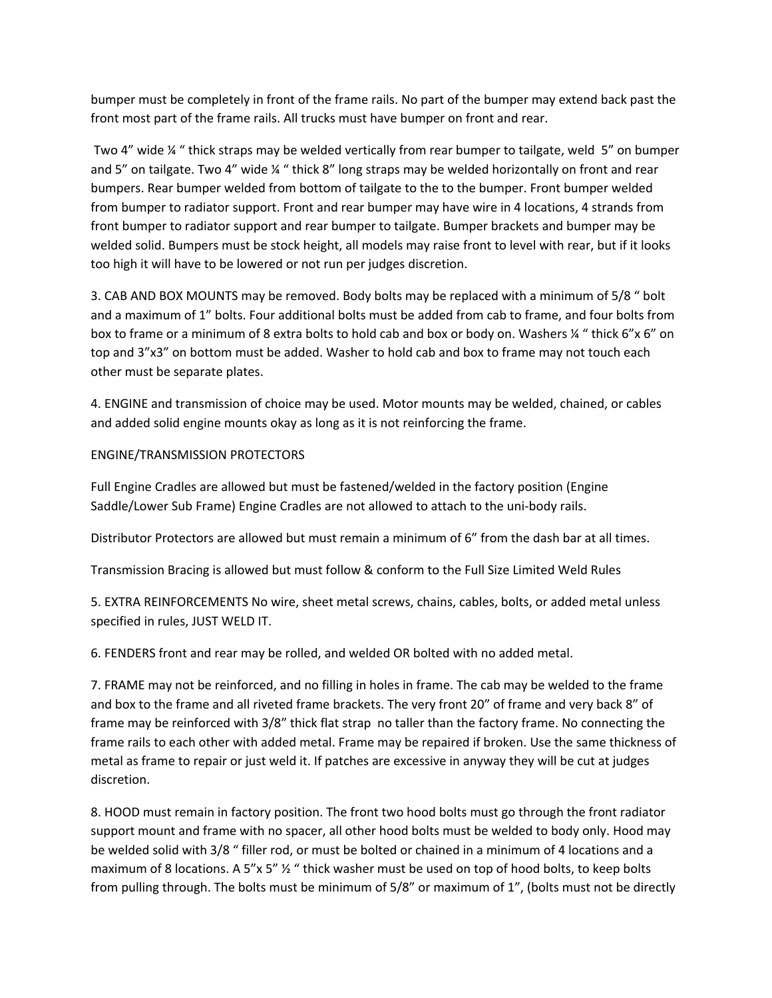bumper must be completely in front of the frame rails. No part of the bumper may extend back past the front most part of the frame rails. All trucks must have bumper on front and rear.

Two 4" wide ¼ " thick straps may be welded vertically from rear bumper to tailgate, weld 5" on bumper and 5" on tailgate. Two 4" wide ¼ " thick 8" long straps may be welded horizontally on front and rear bumpers. Rear bumper welded from bottom of tailgate to the to the bumper. Front bumper welded from bumper to radiator support. Front and rear bumper may have wire in 4 locations, 4 strands from front bumper to radiator support and rear bumper to tailgate. Bumper brackets and bumper may be welded solid. Bumpers must be stock height, all models may raise front to level with rear, but if it looks too high it will have to be lowered or not run per judges discretion.

3. CAB AND BOX MOUNTS may be removed. Body bolts may be replaced with a minimum of 5/8 " bolt and a maximum of 1" bolts. Four additional bolts must be added from cab to frame, and four bolts from box to frame or a minimum of 8 extra bolts to hold cab and box or body on. Washers ¼ " thick 6"x 6" on top and 3"x3" on bottom must be added. Washer to hold cab and box to frame may not touch each other must be separate plates.

4. ENGINE and transmission of choice may be used. Motor mounts may be welded, chained, or cables and added solid engine mounts okay as long as it is not reinforcing the frame.

#### ENGINE/TRANSMISSION PROTECTORS

Full Engine Cradles are allowed but must be fastened/welded in the factory position (Engine Saddle/Lower Sub Frame) Engine Cradles are not allowed to attach to the uni-body rails.

Distributor Protectors are allowed but must remain a minimum of 6" from the dash bar at all times.

Transmission Bracing is allowed but must follow & conform to the Full Size Limited Weld Rules

5. EXTRA REINFORCEMENTS No wire, sheet metal screws, chains, cables, bolts, or added metal unless specified in rules, JUST WELD IT.

6. FENDERS front and rear may be rolled, and welded OR bolted with no added metal.

7. FRAME may not be reinforced, and no filling in holes in frame. The cab may be welded to the frame and box to the frame and all riveted frame brackets. The very front 20" of frame and very back 8" of frame may be reinforced with 3/8" thick flat strap no taller than the factory frame. No connecting the frame rails to each other with added metal. Frame may be repaired if broken. Use the same thickness of metal as frame to repair or just weld it. If patches are excessive in anyway they will be cut at judges discretion.

8. HOOD must remain in factory position. The front two hood bolts must go through the front radiator support mount and frame with no spacer, all other hood bolts must be welded to body only. Hood may be welded solid with 3/8 " filler rod, or must be bolted or chained in a minimum of 4 locations and a maximum of 8 locations. A 5"x 5"  $\frac{1}{2}$  " thick washer must be used on top of hood bolts, to keep bolts from pulling through. The bolts must be minimum of 5/8" or maximum of 1", (bolts must not be directly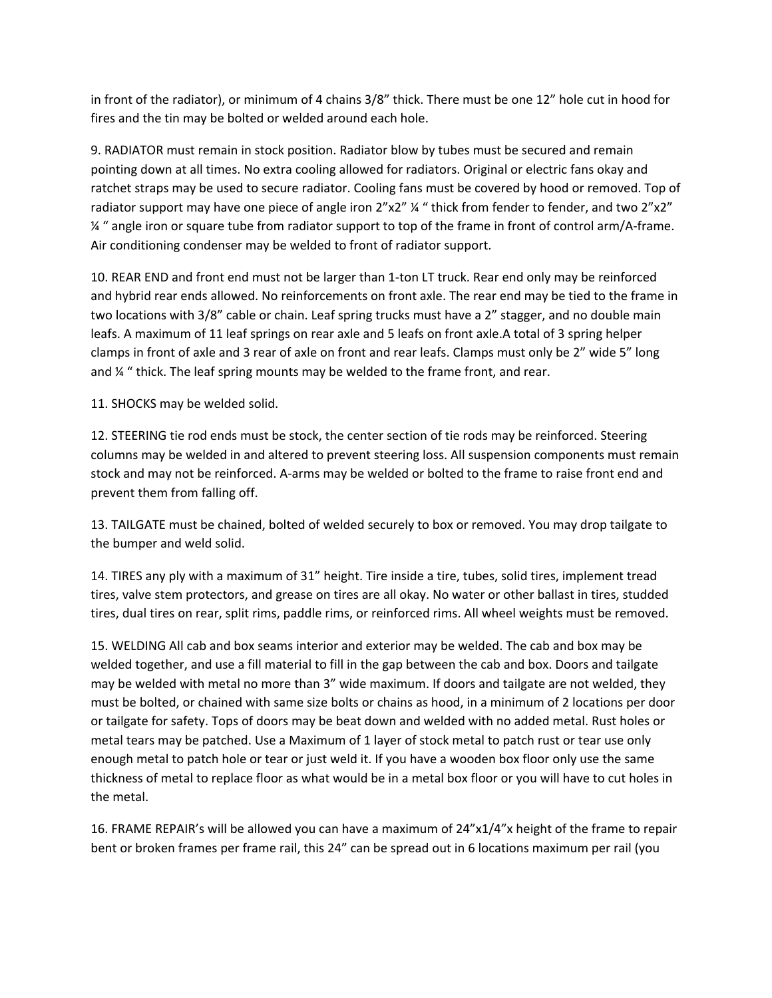in front of the radiator), or minimum of 4 chains 3/8" thick. There must be one 12" hole cut in hood for fires and the tin may be bolted or welded around each hole.

9. RADIATOR must remain in stock position. Radiator blow by tubes must be secured and remain pointing down at all times. No extra cooling allowed for radiators. Original or electric fans okay and ratchet straps may be used to secure radiator. Cooling fans must be covered by hood or removed. Top of radiator support may have one piece of angle iron 2"x2" ¼ " thick from fender to fender, and two 2"x2" ¼ " angle iron or square tube from radiator support to top of the frame in front of control arm/A-frame. Air conditioning condenser may be welded to front of radiator support.

10. REAR END and front end must not be larger than 1-ton LT truck. Rear end only may be reinforced and hybrid rear ends allowed. No reinforcements on front axle. The rear end may be tied to the frame in two locations with 3/8" cable or chain. Leaf spring trucks must have a 2" stagger, and no double main leafs. A maximum of 11 leaf springs on rear axle and 5 leafs on front axle.A total of 3 spring helper clamps in front of axle and 3 rear of axle on front and rear leafs. Clamps must only be 2" wide 5" long and  $\frac{1}{4}$  " thick. The leaf spring mounts may be welded to the frame front, and rear.

11. SHOCKS may be welded solid.

12. STEERING tie rod ends must be stock, the center section of tie rods may be reinforced. Steering columns may be welded in and altered to prevent steering loss. All suspension components must remain stock and may not be reinforced. A-arms may be welded or bolted to the frame to raise front end and prevent them from falling off.

13. TAILGATE must be chained, bolted of welded securely to box or removed. You may drop tailgate to the bumper and weld solid.

14. TIRES any ply with a maximum of 31" height. Tire inside a tire, tubes, solid tires, implement tread tires, valve stem protectors, and grease on tires are all okay. No water or other ballast in tires, studded tires, dual tires on rear, split rims, paddle rims, or reinforced rims. All wheel weights must be removed.

15. WELDING All cab and box seams interior and exterior may be welded. The cab and box may be welded together, and use a fill material to fill in the gap between the cab and box. Doors and tailgate may be welded with metal no more than 3" wide maximum. If doors and tailgate are not welded, they must be bolted, or chained with same size bolts or chains as hood, in a minimum of 2 locations per door or tailgate for safety. Tops of doors may be beat down and welded with no added metal. Rust holes or metal tears may be patched. Use a Maximum of 1 layer of stock metal to patch rust or tear use only enough metal to patch hole or tear or just weld it. If you have a wooden box floor only use the same thickness of metal to replace floor as what would be in a metal box floor or you will have to cut holes in the metal.

16. FRAME REPAIR's will be allowed you can have a maximum of 24"x1/4"x height of the frame to repair bent or broken frames per frame rail, this 24" can be spread out in 6 locations maximum per rail (you